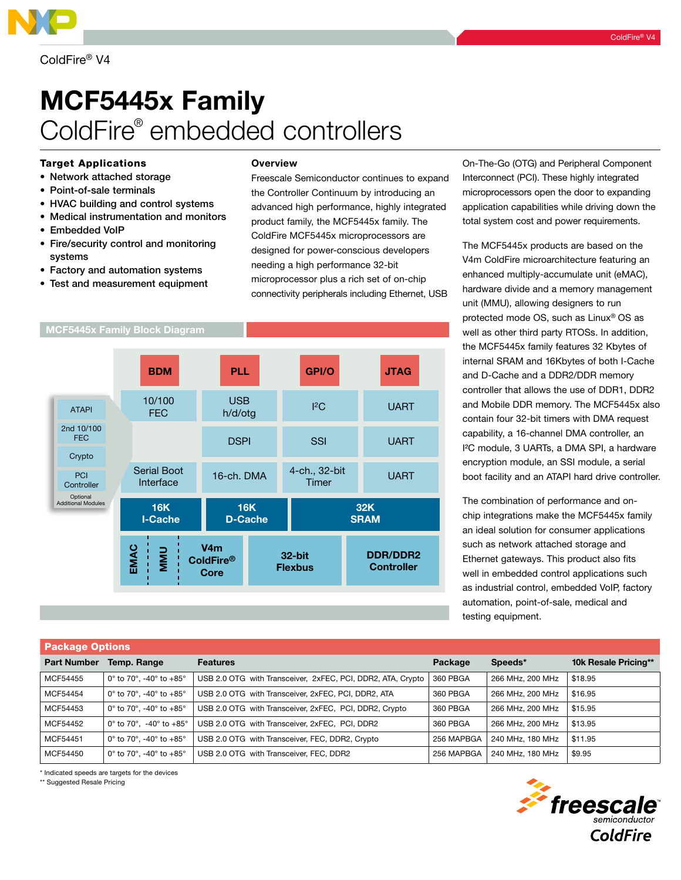# MCF5445x Family ColdFire® embedded controllers

## Target Applications

- • Network attached storage
- • Point-of-sale terminals
- HVAC building and control systems
- Medical instrumentation and monitors
- Embedded VoIP
- • Fire/security control and monitoring systems
- Factory and automation systems
- Test and measurement equipment

#### **Overview**

Freescale Semiconductor continues to expand the Controller Continuum by introducing an advanced high performance, highly integrated product family, the MCF5445x family. The ColdFire MCF5445x microprocessors are designed for power-conscious developers needing a high performance 32-bit microprocessor plus a rich set of on-chip connectivity peripherals including Ethernet, USB



On-The-Go (OTG) and Peripheral Component Interconnect (PCI). These highly integrated microprocessors open the door to expanding application capabilities while driving down the total system cost and power requirements.

The MCF5445x products are based on the V4m ColdFire microarchitecture featuring an enhanced multiply-accumulate unit (eMAC), hardware divide and a memory management unit (MMU), allowing designers to run protected mode OS, such as Linux® OS as well as other third party RTOSs. In addition, the MCF5445x family features 32 Kbytes of internal SRAM and 16Kbytes of both I-Cache and D-Cache and a DDR2/DDR memory controller that allows the use of DDR1, DDR2 and Mobile DDR memory. The MCF5445x also contain four 32-bit timers with DMA request capability, a 16-channel DMA controller, an I²C module, 3 UARTs, a DMA SPI, a hardware encryption module, an SSI module, a serial boot facility and an ATAPI hard drive controller.

The combination of performance and onchip integrations make the MCF5445x family an ideal solution for consumer applications such as network attached storage and Ethernet gateways. This product also fits well in embedded control applications such as industrial control, embedded VoIP, factory automation, point-of-sale, medical and testing equipment.

| <b>Package Options</b> |                                                                  |                                                             |            |                  |                      |  |
|------------------------|------------------------------------------------------------------|-------------------------------------------------------------|------------|------------------|----------------------|--|
| <b>Part Number</b>     | Temp. Range                                                      | <b>Features</b>                                             | Package    | Speeds*          | 10k Resale Pricing** |  |
| MCF54455               | $0^\circ$ to 70°, -40° to +85°                                   | USB 2.0 OTG with Transceiver, 2xFEC, PCI, DDR2, ATA, Crypto | 360 PBGA   | 266 MHz, 200 MHz | \$18.95              |  |
| MCF54454               | 0° to 70°, -40° to +85°                                          | USB 2.0 OTG with Transceiver, 2xFEC, PCI, DDR2, ATA         | 360 PBGA   | 266 MHz, 200 MHz | \$16.95              |  |
| MCF54453               | 0° to 70°, -40° to +85°                                          | USB 2.0 OTG with Transceiver, 2xFEC, PCI, DDR2, Crypto      | 360 PBGA   | 266 MHz, 200 MHz | \$15.95              |  |
| MCF54452               | 0 $^{\circ}$ to 70 $^{\circ}$ , -40 $^{\circ}$ to +85 $^{\circ}$ | USB 2.0 OTG with Transceiver, 2xFEC, PCI, DDR2              | 360 PBGA   | 266 MHz, 200 MHz | \$13.95              |  |
| MCF54451               | 0° to 70°, -40° to +85°                                          | USB 2.0 OTG with Transceiver, FEC, DDR2, Crypto             | 256 MAPBGA | 240 MHz, 180 MHz | \$11.95              |  |
| MCF54450               | $0^\circ$ to 70°, -40° to +85°                                   | USB 2.0 OTG with Transceiver, FEC, DDR2                     | 256 MAPBGA | 240 MHz, 180 MHz | \$9.95               |  |

\* Indicated speeds are targets for the devices

\*\* Suggested Resale Pricing